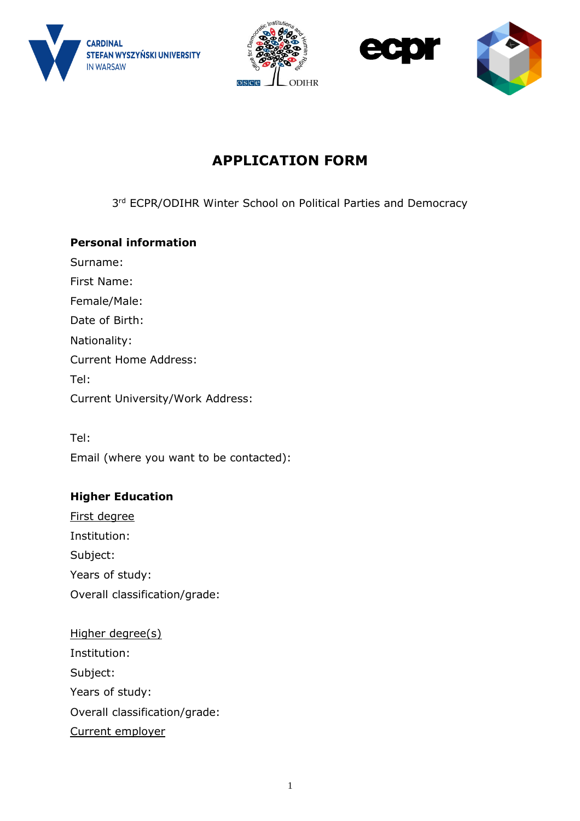







## **APPLICATION FORM**

3<sup>rd</sup> ECPR/ODIHR Winter School on Political Parties and Democracy

## **Personal information**

Surname: First Name: Female/Male: Date of Birth: Nationality: Current Home Address: Tel: Current University/Work Address:

Tel: Email (where you want to be contacted):

## **Higher Education**

- First degree Institution: Subject: Years of study: Overall classification/grade:
- Higher degree(s) Institution: Subject: Years of study: Overall classification/grade: Current employer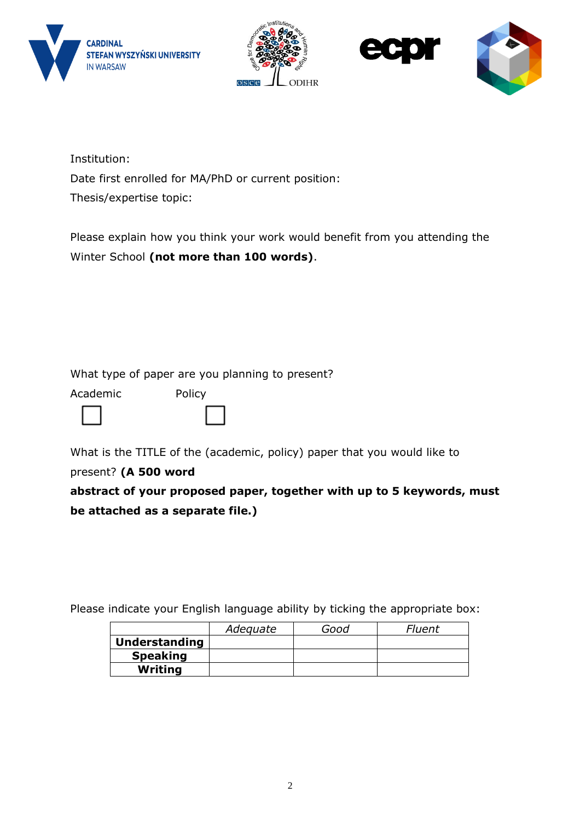







Institution: Date first enrolled for MA/PhD or current position: Thesis/expertise topic:

Please explain how you think your work would benefit from you attending the Winter School **(not more than 100 words)**.

What type of paper are you planning to present?

Academic Policy



What is the TITLE of the (academic, policy) paper that you would like to

present? **(A 500 word** 

**abstract of your proposed paper, together with up to 5 keywords, must be attached as a separate file.)** 

Please indicate your English language ability by ticking the appropriate box:

|                      | Adequate | Good | Fluent |
|----------------------|----------|------|--------|
| <b>Understanding</b> |          |      |        |
| <b>Speaking</b>      |          |      |        |
| Writing              |          |      |        |